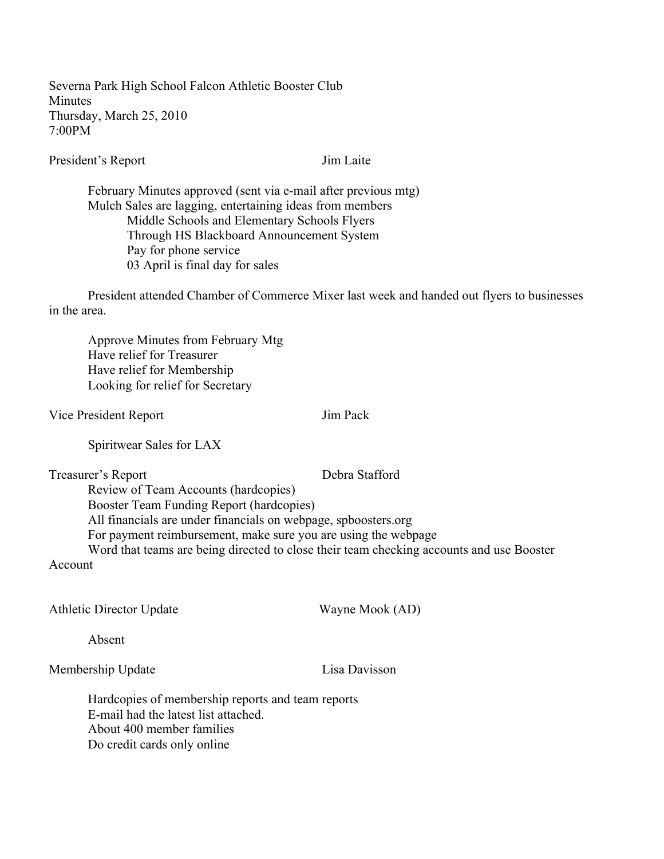Severna Park High School Falcon Athletic Booster Club Minutes Thursday, March 25, 2010 7:00PM

President's Report Jim Laite

February Minutes approved (sent via e-mail after previous mtg) Mulch Sales are lagging, entertaining ideas from members Middle Schools and Elementary Schools Flyers Through HS Blackboard Announcement System Pay for phone service 03 April is final day for sales

President attended Chamber of Commerce Mixer last week and handed out flyers to businesses in the area.

Approve Minutes from February Mtg Have relief for Treasurer Have relief for Membership Looking for relief for Secretary

Vice President Report Jim Pack

Spiritwear Sales for LAX

Treasurer's Report Debra Stafford

Review of Team Accounts (hardcopies) Booster Team Funding Report (hardcopies) All financials are under financials on webpage, spboosters.org For payment reimbursement, make sure you are using the webpage Word that teams are being directed to close their team checking accounts and use Booster

Account

Athletic Director Update Wayne Mook (AD)

Absent

Membership Update Lisa Davisson

Hardcopies of membership reports and team reports E-mail had the latest list attached. About 400 member families Do credit cards only online